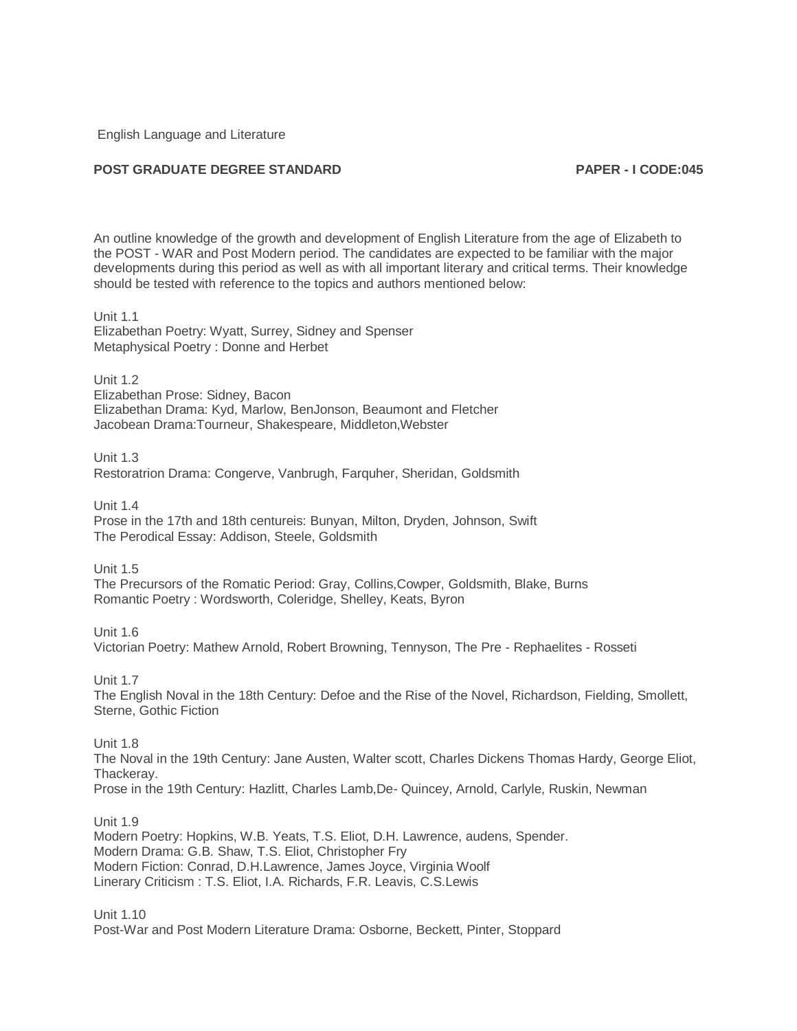English Language and Literature

# **POST GRADUATE DEGREE STANDARD PAPER - I CODE:045**

An outline knowledge of the growth and development of English Literature from the age of Elizabeth to the POST - WAR and Post Modern period. The candidates are expected to be familiar with the major developments during this period as well as with all important literary and critical terms. Their knowledge should be tested with reference to the topics and authors mentioned below:

#### Unit 1.1

Elizabethan Poetry: Wyatt, Surrey, Sidney and Spenser Metaphysical Poetry : Donne and Herbet

Unit 1.2 Elizabethan Prose: Sidney, Bacon Elizabethan Drama: Kyd, Marlow, BenJonson, Beaumont and Fletcher Jacobean Drama:Tourneur, Shakespeare, Middleton,Webster

Unit 1.3 Restoratrion Drama: Congerve, Vanbrugh, Farquher, Sheridan, Goldsmith

Unit 1.4 Prose in the 17th and 18th centureis: Bunyan, Milton, Dryden, Johnson, Swift The Perodical Essay: Addison, Steele, Goldsmith

Unit 1.5 The Precursors of the Romatic Period: Gray, Collins,Cowper, Goldsmith, Blake, Burns Romantic Poetry : Wordsworth, Coleridge, Shelley, Keats, Byron

Unit 1.6 Victorian Poetry: Mathew Arnold, Robert Browning, Tennyson, The Pre - Rephaelites - Rosseti

Unit 1.7

The English Noval in the 18th Century: Defoe and the Rise of the Novel, Richardson, Fielding, Smollett, Sterne, Gothic Fiction

# **Unit 1.8**

The Noval in the 19th Century: Jane Austen, Walter scott, Charles Dickens Thomas Hardy, George Eliot, Thackeray. Prose in the 19th Century: Hazlitt, Charles Lamb,De- Quincey, Arnold, Carlyle, Ruskin, Newman

Unit 1.9

Modern Poetry: Hopkins, W.B. Yeats, T.S. Eliot, D.H. Lawrence, audens, Spender. Modern Drama: G.B. Shaw, T.S. Eliot, Christopher Fry Modern Fiction: Conrad, D.H.Lawrence, James Joyce, Virginia Woolf Linerary Criticism : T.S. Eliot, I.A. Richards, F.R. Leavis, C.S.Lewis

Unit 1.10 Post-War and Post Modern Literature Drama: Osborne, Beckett, Pinter, Stoppard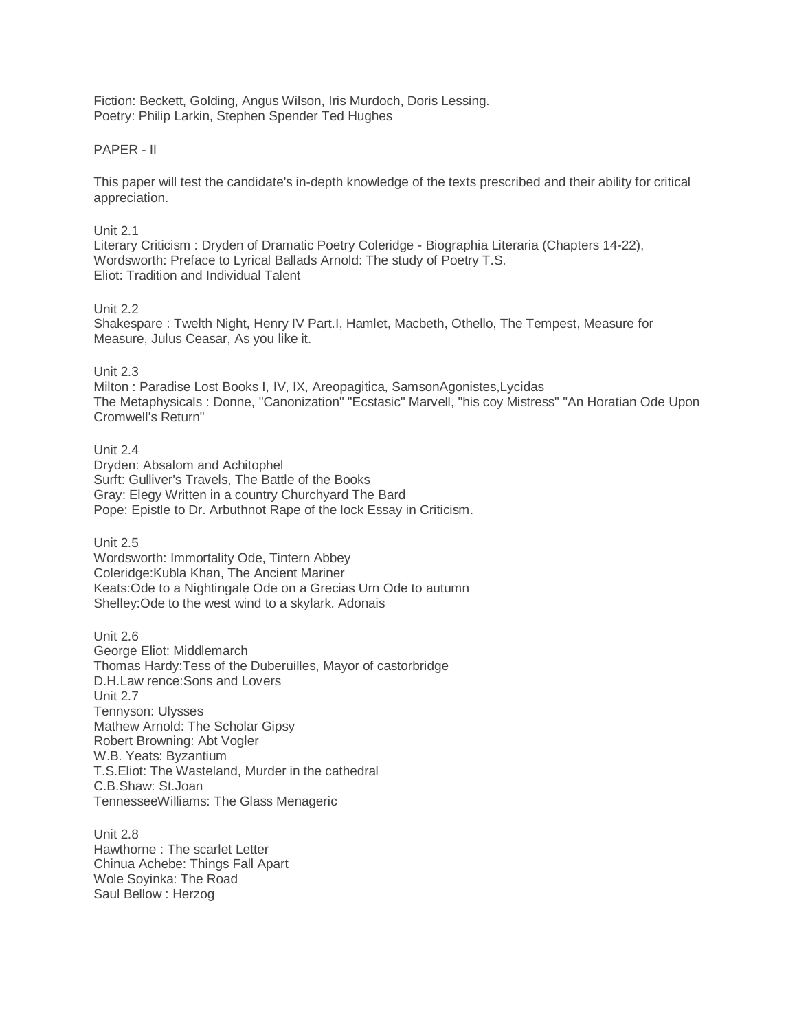Fiction: Beckett, Golding, Angus Wilson, Iris Murdoch, Doris Lessing. Poetry: Philip Larkin, Stephen Spender Ted Hughes

# PAPER - II

This paper will test the candidate's in-depth knowledge of the texts prescribed and their ability for critical appreciation.

# Unit 2.1

Literary Criticism : Dryden of Dramatic Poetry Coleridge - Biographia Literaria (Chapters 14-22), Wordsworth: Preface to Lyrical Ballads Arnold: The study of Poetry T.S. Eliot: Tradition and Individual Talent

#### Unit 2.2

Shakespare : Twelth Night, Henry IV Part.I, Hamlet, Macbeth, Othello, The Tempest, Measure for Measure, Julus Ceasar, As you like it.

# Unit 2.3

Milton : Paradise Lost Books I, IV, IX, Areopagitica, SamsonAgonistes,Lycidas The Metaphysicals : Donne, "Canonization" "Ecstasic" Marvell, "his coy Mistress" "An Horatian Ode Upon Cromwell's Return"

Unit 2.4 Dryden: Absalom and Achitophel Surft: Gulliver's Travels, The Battle of the Books Gray: Elegy Written in a country Churchyard The Bard Pope: Epistle to Dr. Arbuthnot Rape of the lock Essay in Criticism.

Unit 2.5

Wordsworth: Immortality Ode, Tintern Abbey Coleridge:Kubla Khan, The Ancient Mariner Keats:Ode to a Nightingale Ode on a Grecias Urn Ode to autumn Shelley:Ode to the west wind to a skylark. Adonais

Unit 2.6 George Eliot: Middlemarch Thomas Hardy:Tess of the Duberuilles, Mayor of castorbridge D.H.Law rence:Sons and Lovers Unit 2.7 Tennyson: Ulysses Mathew Arnold: The Scholar Gipsy Robert Browning: Abt Vogler W.B. Yeats: Byzantium T.S.Eliot: The Wasteland, Murder in the cathedral C.B.Shaw: St.Joan TennesseeWilliams: The Glass Menageric

Unit 2.8 Hawthorne : The scarlet Letter Chinua Achebe: Things Fall Apart Wole Soyinka: The Road Saul Bellow : Herzog